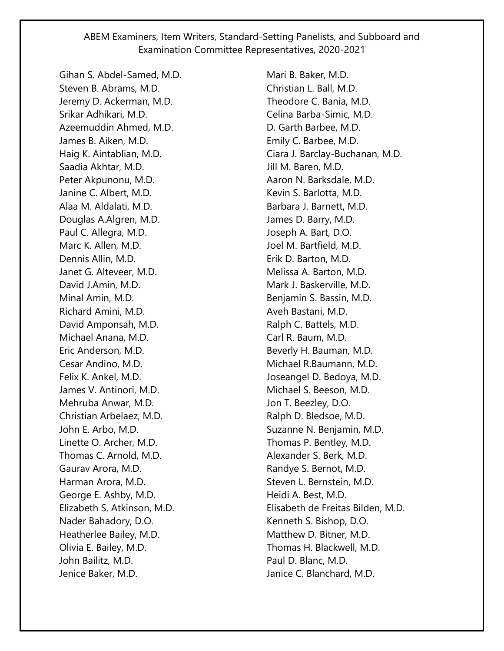Gihan S. Abdel-Samed, M.D. Steven B. Abrams, M.D. Jeremy D. Ackerman, M.D. Srikar Adhikari, M.D. Azeemuddin Ahmed, M.D. James B. Aiken, M.D. Haig K. Aintablian, M.D. Saadia Akhtar, M.D. Peter Akpunonu, M.D. Janine C. Albert, M.D. Alaa M. Aldalati, M.D. Douglas A.Algren, M.D. Paul C. Allegra, M.D. Marc K. Allen, M.D. Dennis Allin, M.D. Janet G. Alteveer, M.D. David J.Amin, M.D. Minal Amin, M.D. Richard Amini, M.D. David Amponsah, M.D. Michael Anana, M.D. Eric Anderson, M.D. Cesar Andino, M.D. Felix K. Ankel, M.D. James V. Antinori, M.D. Mehruba Anwar, M.D. Christian Arbelaez, M.D. John E. Arbo, M.D. Linette O. Archer, M.D. Thomas C. Arnold, M.D. Gaurav Arora, M.D. Harman Arora, M.D. George E. Ashby, M.D. Elizabeth S. Atkinson, M.D. Nader Bahadory, D.O. Heatherlee Bailey, M.D. Olivia E. Bailey, M.D. John Bailitz, M.D. Jenice Baker, M.D.

Mari B. Baker, M.D. Christian L. Ball, M.D. Theodore C. Bania, M.D. Celina Barba-Simic, M.D. D. Garth Barbee, M.D. Emily C. Barbee, M.D. Ciara J. Barclay-Buchanan, M.D. Jill M. Baren, M.D. Aaron N. Barksdale, M.D. Kevin S. Barlotta, M.D. Barbara J. Barnett, M.D. James D. Barry, M.D. Joseph A. Bart, D.O. Joel M. Bartfield, M.D. Erik D. Barton, M.D. Melissa A. Barton, M.D. Mark J. Baskerville, M.D. Benjamin S. Bassin, M.D. Aveh Bastani, M.D. Ralph C. Battels, M.D. Carl R. Baum, M.D. Beverly H. Bauman, M.D. Michael R.Baumann, M.D. Joseangel D. Bedoya, M.D. Michael S. Beeson, M.D. Jon T. Beezley, D.O. Ralph D. Bledsoe, M.D. Suzanne N. Benjamin, M.D. Thomas P. Bentley, M.D. Alexander S. Berk, M.D. Randye S. Bernot, M.D. Steven L. Bernstein, M.D. Heidi A. Best, M.D. Elisabeth de Freitas Bilden, M.D. Kenneth S. Bishop, D.O. Matthew D. Bitner, M.D. Thomas H. Blackwell, M.D. Paul D. Blanc, M.D. Janice C. Blanchard, M.D.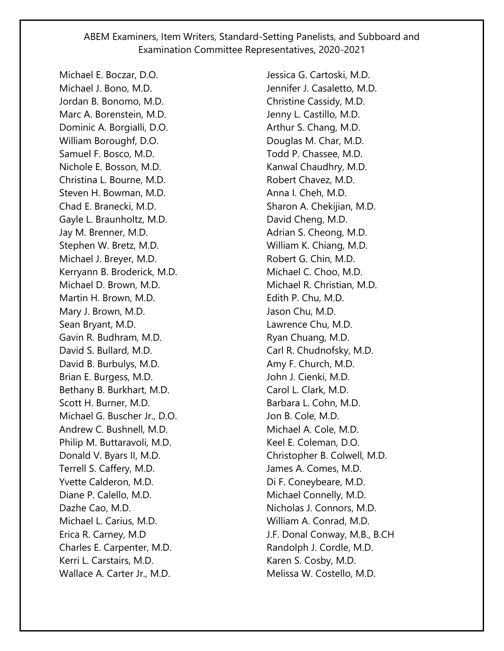Michael E. Boczar, D.O. Michael J. Bono, M.D. Jordan B. Bonomo, M.D. Marc A. Borenstein, M.D. Dominic A. Borgialli, D.O. William Boroughf, D.O. Samuel F. Bosco, M.D. Nichole E. Bosson, M.D. Christina L. Bourne, M.D. Steven H. Bowman, M.D. Chad E. Branecki, M.D. Gayle L. Braunholtz, M.D. Jay M. Brenner, M.D. Stephen W. Bretz, M.D. Michael J. Breyer, M.D. Kerryann B. Broderick, M.D. Michael D. Brown, M.D. Martin H. Brown, M.D. Mary J. Brown, M.D. Sean Bryant, M.D. Gavin R. Budhram, M.D. David S. Bullard, M.D. David B. Burbulys, M.D. Brian E. Burgess, M.D. Bethany B. Burkhart, M.D. Scott H. Burner, M.D. Michael G. Buscher Jr., D.O. Andrew C. Bushnell, M.D. Philip M. Buttaravoli, M.D. Donald V. Byars II, M.D. Terrell S. Caffery, M.D. Yvette Calderon, M.D. Diane P. Calello, M.D. Dazhe Cao, M.D. Michael L. Carius, M.D. Erica R. Carney, M.D Charles E. Carpenter, M.D. Kerri L. Carstairs, M.D. Wallace A. Carter Jr., M.D.

Jessica G. Cartoski, M.D. Jennifer J. Casaletto, M.D. Christine Cassidy, M.D. Jenny L. Castillo, M.D. Arthur S. Chang, M.D. Douglas M. Char, M.D. Todd P. Chassee, M.D. Kanwal Chaudhry, M.D. Robert Chavez, M.D. Anna I. Cheh, M.D. Sharon A. Chekijian, M.D. David Cheng, M.D. Adrian S. Cheong, M.D. William K. Chiang, M.D. Robert G. Chin, M.D. Michael C. Choo, M.D. Michael R. Christian, M.D. Edith P. Chu, M.D. Jason Chu, M.D. Lawrence Chu, M.D. Ryan Chuang, M.D. Carl R. Chudnofsky, M.D. Amy F. Church, M.D. John J. Cienki, M.D. Carol L. Clark, M.D. Barbara L. Cohn, M.D. Jon B. Cole, M.D. Michael A. Cole, M.D. Keel E. Coleman, D.O. Christopher B. Colwell, M.D. James A. Comes, M.D. Di F. Coneybeare, M.D. Michael Connelly, M.D. Nicholas J. Connors, M.D. William A. Conrad, M.D. J.F. Donal Conway, M.B., B.CH Randolph J. Cordle, M.D. Karen S. Cosby, M.D. Melissa W. Costello, M.D.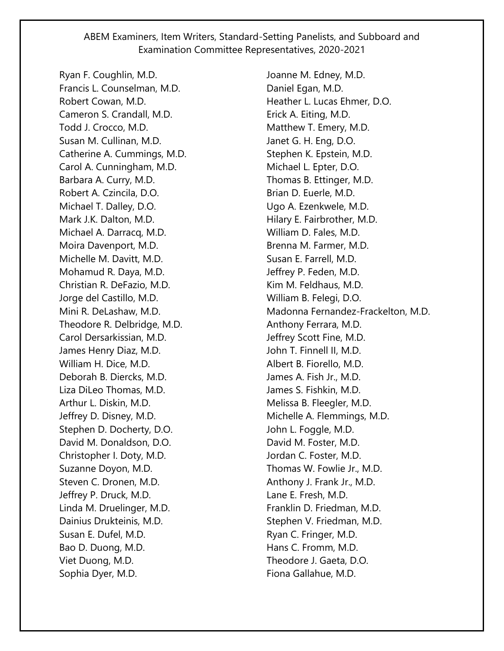Ryan F. Coughlin, M.D. Francis L. Counselman, M.D. Robert Cowan, M.D. Cameron S. Crandall, M.D. Todd J. Crocco, M.D. Susan M. Cullinan, M.D. Catherine A. Cummings, M.D. Carol A. Cunningham, M.D. Barbara A. Curry, M.D. Robert A. Czincila, D.O. Michael T. Dalley, D.O. Mark J.K. Dalton, M.D. Michael A. Darracq, M.D. Moira Davenport, M.D. Michelle M. Davitt, M.D. Mohamud R. Daya, M.D. Christian R. DeFazio, M.D. Jorge del Castillo, M.D. Mini R. DeLashaw, M.D. Theodore R. Delbridge, M.D. Carol Dersarkissian, M.D. James Henry Diaz, M.D. William H. Dice, M.D. Deborah B. Diercks, M.D. Liza DiLeo Thomas, M.D. Arthur L. Diskin, M.D. Jeffrey D. Disney, M.D. Stephen D. Docherty, D.O. David M. Donaldson, D.O. Christopher I. Doty, M.D. Suzanne Doyon, M.D. Steven C. Dronen, M.D. Jeffrey P. Druck, M.D. Linda M. Druelinger, M.D. Dainius Drukteinis, M.D. Susan E. Dufel, M.D. Bao D. Duong, M.D. Viet Duong, M.D. Sophia Dyer, M.D.

Joanne M. Edney, M.D. Daniel Egan, M.D. Heather L. Lucas Ehmer, D.O. Erick A. Eiting, M.D. Matthew T. Emery, M.D. Janet G. H. Eng, D.O. Stephen K. Epstein, M.D. Michael L. Epter, D.O. Thomas B. Ettinger, M.D. Brian D. Euerle, M.D. Ugo A. Ezenkwele, M.D. Hilary E. Fairbrother, M.D. William D. Fales, M.D. Brenna M. Farmer, M.D. Susan E. Farrell, M.D. Jeffrey P. Feden, M.D. Kim M. Feldhaus, M.D. William B. Felegi, D.O. Madonna Fernandez-Frackelton, M.D. Anthony Ferrara, M.D. Jeffrey Scott Fine, M.D. John T. Finnell II, M.D. Albert B. Fiorello, M.D. James A. Fish Jr., M.D. James S. Fishkin, M.D. Melissa B. Fleegler, M.D. Michelle A. Flemmings, M.D. John L. Foggle, M.D. David M. Foster, M.D. Jordan C. Foster, M.D. Thomas W. Fowlie Jr., M.D. Anthony J. Frank Jr., M.D. Lane E. Fresh, M.D. Franklin D. Friedman, M.D. Stephen V. Friedman, M.D. Ryan C. Fringer, M.D. Hans C. Fromm, M.D. Theodore J. Gaeta, D.O. Fiona Gallahue, M.D.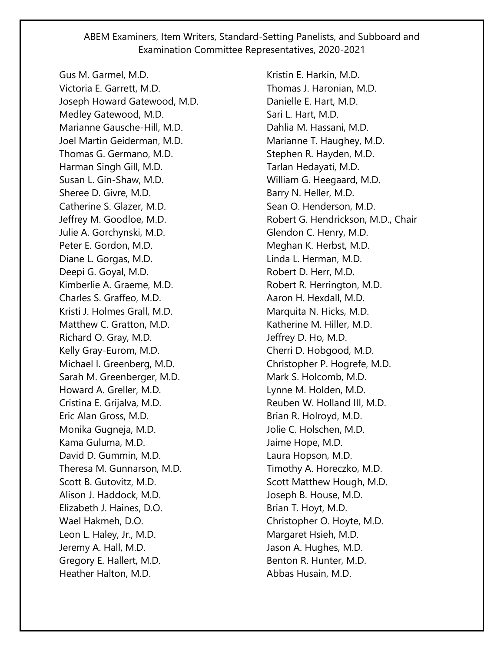Gus M. Garmel, M.D. Victoria E. Garrett, M.D. Joseph Howard Gatewood, M.D. Medley Gatewood, M.D. Marianne Gausche-Hill, M.D. Joel Martin Geiderman, M.D. Thomas G. Germano, M.D. Harman Singh Gill, M.D. Susan L. Gin-Shaw, M.D. Sheree D. Givre, M.D. Catherine S. Glazer, M.D. Jeffrey M. Goodloe, M.D. Julie A. Gorchynski, M.D. Peter E. Gordon, M.D. Diane L. Gorgas, M.D. Deepi G. Goyal, M.D. Kimberlie A. Graeme, M.D. Charles S. Graffeo, M.D. Kristi J. Holmes Grall, M.D. Matthew C. Gratton, M.D. Richard O. Gray, M.D. Kelly Gray-Eurom, M.D. Michael I. Greenberg, M.D. Sarah M. Greenberger, M.D. Howard A. Greller, M.D. Cristina E. Grijalva, M.D. Eric Alan Gross, M.D. Monika Gugneja, M.D. Kama Guluma, M.D. David D. Gummin, M.D. Theresa M. Gunnarson, M.D. Scott B. Gutovitz, M.D. Alison J. Haddock, M.D. Elizabeth J. Haines, D.O. Wael Hakmeh, D.O. Leon L. Haley, Jr., M.D. Jeremy A. Hall, M.D. Gregory E. Hallert, M.D. Heather Halton, M.D.

Kristin E. Harkin, M.D. Thomas J. Haronian, M.D. Danielle E. Hart, M.D. Sari L. Hart, M.D. Dahlia M. Hassani, M.D. Marianne T. Haughey, M.D. Stephen R. Hayden, M.D. Tarlan Hedayati, M.D. William G. Heegaard, M.D. Barry N. Heller, M.D. Sean O. Henderson, M.D. Robert G. Hendrickson, M.D., Chair Glendon C. Henry, M.D. Meghan K. Herbst, M.D. Linda L. Herman, M.D. Robert D. Herr, M.D. Robert R. Herrington, M.D. Aaron H. Hexdall, M.D. Marquita N. Hicks, M.D. Katherine M. Hiller, M.D. Jeffrey D. Ho, M.D. Cherri D. Hobgood, M.D. Christopher P. Hogrefe, M.D. Mark S. Holcomb, M.D. Lynne M. Holden, M.D. Reuben W. Holland III, M.D. Brian R. Holroyd, M.D. Jolie C. Holschen, M.D. Jaime Hope, M.D. Laura Hopson, M.D. Timothy A. Horeczko, M.D. Scott Matthew Hough, M.D. Joseph B. House, M.D. Brian T. Hoyt, M.D. Christopher O. Hoyte, M.D. Margaret Hsieh, M.D. Jason A. Hughes, M.D. Benton R. Hunter, M.D. Abbas Husain, M.D.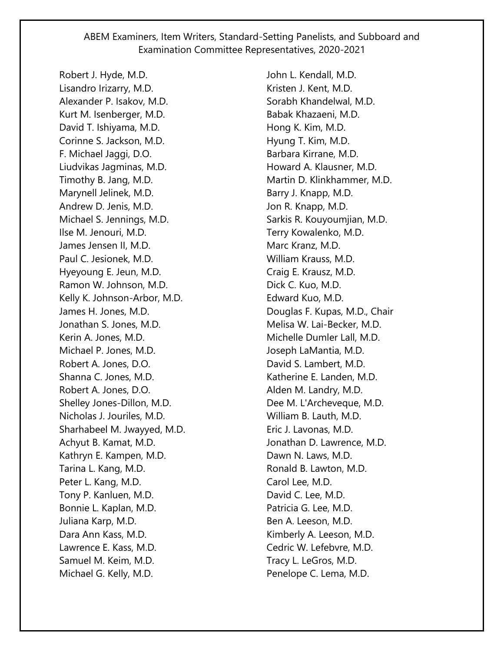Robert J. Hyde, M.D. Lisandro Irizarry, M.D. Alexander P. Isakov, M.D. Kurt M. Isenberger, M.D. David T. Ishiyama, M.D. Corinne S. Jackson, M.D. F. Michael Jaggi, D.O. Liudvikas Jagminas, M.D. Timothy B. Jang, M.D. Marynell Jelinek, M.D. Andrew D. Jenis, M.D. Michael S. Jennings, M.D. Ilse M. Jenouri, M.D. James Jensen II, M.D. Paul C. Jesionek, M.D. Hyeyoung E. Jeun, M.D. Ramon W. Johnson, M.D. Kelly K. Johnson-Arbor, M.D. James H. Jones, M.D. Jonathan S. Jones, M.D. Kerin A. Jones, M.D. Michael P. Jones, M.D. Robert A. Jones, D.O. Shanna C. Jones, M.D. Robert A. Jones, D.O. Shelley Jones-Dillon, M.D. Nicholas J. Jouriles, M.D. Sharhabeel M. Jwayyed, M.D. Achyut B. Kamat, M.D. Kathryn E. Kampen, M.D. Tarina L. Kang, M.D. Peter L. Kang, M.D. Tony P. Kanluen, M.D. Bonnie L. Kaplan, M.D. Juliana Karp, M.D. Dara Ann Kass, M.D. Lawrence E. Kass, M.D. Samuel M. Keim, M.D. Michael G. Kelly, M.D.

John L. Kendall, M.D. Kristen J. Kent, M.D. Sorabh Khandelwal, M.D. Babak Khazaeni, M.D. Hong K. Kim, M.D. Hyung T. Kim, M.D. Barbara Kirrane, M.D. Howard A. Klausner, M.D. Martin D. Klinkhammer, M.D. Barry J. Knapp, M.D. Jon R. Knapp, M.D. Sarkis R. Kouyoumjian, M.D. Terry Kowalenko, M.D. Marc Kranz, M.D. William Krauss, M.D. Craig E. Krausz, M.D. Dick C. Kuo, M.D. Edward Kuo, M.D. Douglas F. Kupas, M.D., Chair Melisa W. Lai-Becker, M.D. Michelle Dumler Lall, M.D. Joseph LaMantia, M.D. David S. Lambert, M.D. Katherine E. Landen, M.D. Alden M. Landry, M.D. Dee M. L'Archeveque, M.D. William B. Lauth, M.D. Eric J. Lavonas, M.D. Jonathan D. Lawrence, M.D. Dawn N. Laws, M.D. Ronald B. Lawton, M.D. Carol Lee, M.D. David C. Lee, M.D. Patricia G. Lee, M.D. Ben A. Leeson, M.D. Kimberly A. Leeson, M.D. Cedric W. Lefebvre, M.D. Tracy L. LeGros, M.D. Penelope C. Lema, M.D.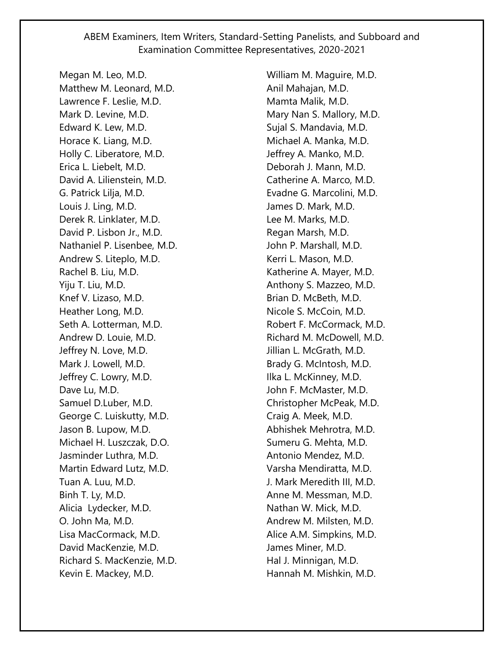Megan M. Leo, M.D. Matthew M. Leonard, M.D. Lawrence F. Leslie, M.D. Mark D. Levine, M.D. Edward K. Lew, M.D. Horace K. Liang, M.D. Holly C. Liberatore, M.D. Erica L. Liebelt, M.D. David A. Lilienstein, M.D. G. Patrick Lilja, M.D. Louis J. Ling, M.D. Derek R. Linklater, M.D. David P. Lisbon Jr., M.D. Nathaniel P. Lisenbee, M.D. Andrew S. Liteplo, M.D. Rachel B. Liu, M.D. Yiju T. Liu, M.D. Knef V. Lizaso, M.D. Heather Long, M.D. Seth A. Lotterman, M.D. Andrew D. Louie, M.D. Jeffrey N. Love, M.D. Mark J. Lowell, M.D. Jeffrey C. Lowry, M.D. Dave Lu, M.D. Samuel D.Luber, M.D. George C. Luiskutty, M.D. Jason B. Lupow, M.D. Michael H. Luszczak, D.O. Jasminder Luthra, M.D. Martin Edward Lutz, M.D. Tuan A. Luu, M.D. Binh T. Ly, M.D. Alicia Lydecker, M.D. O. John Ma, M.D. Lisa MacCormack, M.D. David MacKenzie, M.D. Richard S. MacKenzie, M.D. Kevin E. Mackey, M.D.

William M. Maguire, M.D. Anil Mahajan, M.D. Mamta Malik, M.D. Mary Nan S. Mallory, M.D. Sujal S. Mandavia, M.D. Michael A. Manka, M.D. Jeffrey A. Manko, M.D. Deborah J. Mann, M.D. Catherine A. Marco, M.D. Evadne G. Marcolini, M.D. James D. Mark, M.D. Lee M. Marks, M.D. Regan Marsh, M.D. John P. Marshall, M.D. Kerri L. Mason, M.D. Katherine A. Mayer, M.D. Anthony S. Mazzeo, M.D. Brian D. McBeth, M.D. Nicole S. McCoin, M.D. Robert F. McCormack, M.D. Richard M. McDowell, M.D. Jillian L. McGrath, M.D. Brady G. McIntosh, M.D. Ilka L. McKinney, M.D. John F. McMaster, M.D. Christopher McPeak, M.D. Craig A. Meek, M.D. Abhishek Mehrotra, M.D. Sumeru G. Mehta, M.D. Antonio Mendez, M.D. Varsha Mendiratta, M.D. J. Mark Meredith III, M.D. Anne M. Messman, M.D. Nathan W. Mick, M.D. Andrew M. Milsten, M.D. Alice A.M. Simpkins, M.D. James Miner, M.D. Hal J. Minnigan, M.D. Hannah M. Mishkin, M.D.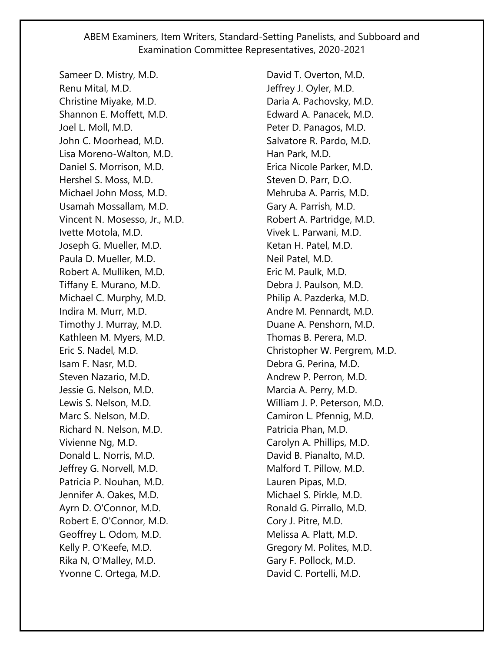Sameer D. Mistry, M.D. Renu Mital, M.D. Christine Miyake, M.D. Shannon E. Moffett, M.D. Joel L. Moll, M.D. John C. Moorhead, M.D. Lisa Moreno-Walton, M.D. Daniel S. Morrison, M.D. Hershel S. Moss, M.D. Michael John Moss, M.D. Usamah Mossallam, M.D. Vincent N. Mosesso, Jr., M.D. Ivette Motola, M.D. Joseph G. Mueller, M.D. Paula D. Mueller, M.D. Robert A. Mulliken, M.D. Tiffany E. Murano, M.D. Michael C. Murphy, M.D. Indira M. Murr, M.D. Timothy J. Murray, M.D. Kathleen M. Myers, M.D. Eric S. Nadel, M.D. Isam F. Nasr, M.D. Steven Nazario, M.D. Jessie G. Nelson, M.D. Lewis S. Nelson, M.D. Marc S. Nelson, M.D. Richard N. Nelson, M.D. Vivienne Ng, M.D. Donald L. Norris, M.D. Jeffrey G. Norvell, M.D. Patricia P. Nouhan, M.D. Jennifer A. Oakes, M.D. Ayrn D. O'Connor, M.D. Robert E. O'Connor, M.D. Geoffrey L. Odom, M.D. Kelly P. O'Keefe, M.D. Rika N, O'Malley, M.D. Yvonne C. Ortega, M.D.

David T. Overton, M.D. Jeffrey J. Oyler, M.D. Daria A. Pachovsky, M.D. Edward A. Panacek, M.D. Peter D. Panagos, M.D. Salvatore R. Pardo, M.D. Han Park, M.D. Erica Nicole Parker, M.D. Steven D. Parr, D.O. Mehruba A. Parris, M.D. Gary A. Parrish, M.D. Robert A. Partridge, M.D. Vivek L. Parwani, M.D. Ketan H. Patel, M.D. Neil Patel, M.D. Eric M. Paulk, M.D. Debra J. Paulson, M.D. Philip A. Pazderka, M.D. Andre M. Pennardt, M.D. Duane A. Penshorn, M.D. Thomas B. Perera, M.D. Christopher W. Pergrem, M.D. Debra G. Perina, M.D. Andrew P. Perron, M.D. Marcia A. Perry, M.D. William J. P. Peterson, M.D. Camiron L. Pfennig, M.D. Patricia Phan, M.D. Carolyn A. Phillips, M.D. David B. Pianalto, M.D. Malford T. Pillow, M.D. Lauren Pipas, M.D. Michael S. Pirkle, M.D. Ronald G. Pirrallo, M.D. Cory J. Pitre, M.D. Melissa A. Platt, M.D. Gregory M. Polites, M.D. Gary F. Pollock, M.D. David C. Portelli, M.D.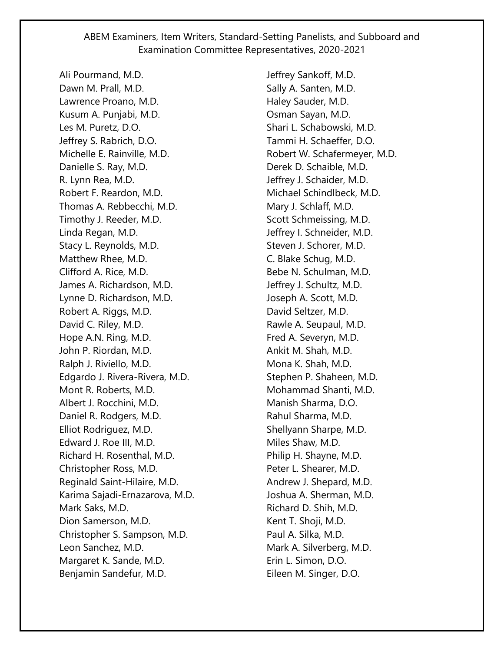Ali Pourmand, M.D. Dawn M. Prall, M.D. Lawrence Proano, M.D. Kusum A. Punjabi, M.D. Les M. Puretz, D.O. Jeffrey S. Rabrich, D.O. Michelle E. Rainville, M.D. Danielle S. Ray, M.D. R. Lynn Rea, M.D. Robert F. Reardon, M.D. Thomas A. Rebbecchi, M.D. Timothy J. Reeder, M.D. Linda Regan, M.D. Stacy L. Reynolds, M.D. Matthew Rhee, M.D. Clifford A. Rice, M.D. James A. Richardson, M.D. Lynne D. Richardson, M.D. Robert A. Riggs, M.D. David C. Riley, M.D. Hope A.N. Ring, M.D. John P. Riordan, M.D. Ralph J. Riviello, M.D. Edgardo J. Rivera-Rivera, M.D. Mont R. Roberts, M.D. Albert J. Rocchini, M.D. Daniel R. Rodgers, M.D. Elliot Rodriguez, M.D. Edward J. Roe III, M.D. Richard H. Rosenthal, M.D. Christopher Ross, M.D. Reginald Saint-Hilaire, M.D. Karima Sajadi-Ernazarova, M.D. Mark Saks, M.D. Dion Samerson, M.D. Christopher S. Sampson, M.D. Leon Sanchez, M.D. Margaret K. Sande, M.D. Benjamin Sandefur, M.D.

Jeffrey Sankoff, M.D. Sally A. Santen, M.D. Haley Sauder, M.D. Osman Sayan, M.D. Shari L. Schabowski, M.D. Tammi H. Schaeffer, D.O. Robert W. Schafermeyer, M.D. Derek D. Schaible, M.D. Jeffrey J. Schaider, M.D. Michael Schindlbeck, M.D. Mary J. Schlaff, M.D. Scott Schmeissing, M.D. Jeffrey I. Schneider, M.D. Steven J. Schorer, M.D. C. Blake Schug, M.D. Bebe N. Schulman, M.D. Jeffrey J. Schultz, M.D. Joseph A. Scott, M.D. David Seltzer, M.D. Rawle A. Seupaul, M.D. Fred A. Severyn, M.D. Ankit M. Shah, M.D. Mona K. Shah, M.D. Stephen P. Shaheen, M.D. Mohammad Shanti, M.D. Manish Sharma, D.O. Rahul Sharma, M.D. Shellyann Sharpe, M.D. Miles Shaw, M.D. Philip H. Shayne, M.D. Peter L. Shearer, M.D. Andrew J. Shepard, M.D. Joshua A. Sherman, M.D. Richard D. Shih, M.D. Kent T. Shoji, M.D. Paul A. Silka, M.D. Mark A. Silverberg, M.D. Erin L. Simon, D.O. Eileen M. Singer, D.O.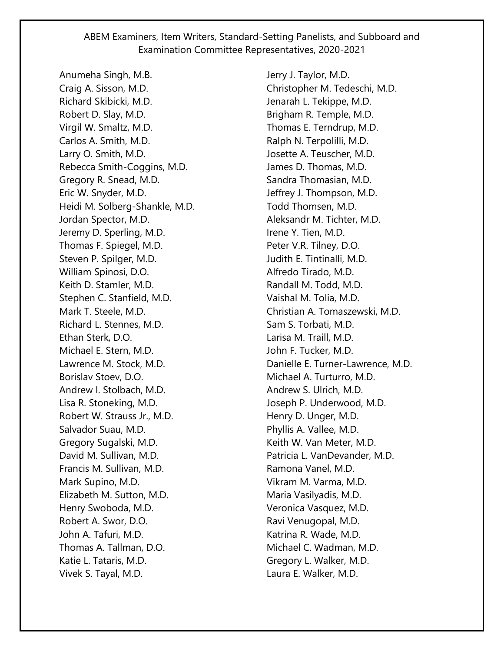Anumeha Singh, M.B. Craig A. Sisson, M.D. Richard Skibicki, M.D. Robert D. Slay, M.D. Virgil W. Smaltz, M.D. Carlos A. Smith, M.D. Larry O. Smith, M.D. Rebecca Smith-Coggins, M.D. Gregory R. Snead, M.D. Eric W. Snyder, M.D. Heidi M. Solberg-Shankle, M.D. Jordan Spector, M.D. Jeremy D. Sperling, M.D. Thomas F. Spiegel, M.D. Steven P. Spilger, M.D. William Spinosi, D.O. Keith D. Stamler, M.D. Stephen C. Stanfield, M.D. Mark T. Steele, M.D. Richard L. Stennes, M.D. Ethan Sterk, D.O. Michael E. Stern, M.D. Lawrence M. Stock, M.D. Borislav Stoev, D.O. Andrew I. Stolbach, M.D. Lisa R. Stoneking, M.D. Robert W. Strauss Jr., M.D. Salvador Suau, M.D. Gregory Sugalski, M.D. David M. Sullivan, M.D. Francis M. Sullivan, M.D. Mark Supino, M.D. Elizabeth M. Sutton, M.D. Henry Swoboda, M.D. Robert A. Swor, D.O. John A. Tafuri, M.D. Thomas A. Tallman, D.O. Katie L. Tataris, M.D. Vivek S. Tayal, M.D.

Jerry J. Taylor, M.D. Christopher M. Tedeschi, M.D. Jenarah L. Tekippe, M.D. Brigham R. Temple, M.D. Thomas E. Terndrup, M.D. Ralph N. Terpolilli, M.D. Josette A. Teuscher, M.D. James D. Thomas, M.D. Sandra Thomasian, M.D. Jeffrey J. Thompson, M.D. Todd Thomsen, M.D. Aleksandr M. Tichter, M.D. Irene Y. Tien, M.D. Peter V.R. Tilney, D.O. Judith E. Tintinalli, M.D. Alfredo Tirado, M.D. Randall M. Todd, M.D. Vaishal M. Tolia, M.D. Christian A. Tomaszewski, M.D. Sam S. Torbati, M.D. Larisa M. Traill, M.D. John F. Tucker, M.D. Danielle E. Turner-Lawrence, M.D. Michael A. Turturro, M.D. Andrew S. Ulrich, M.D. Joseph P. Underwood, M.D. Henry D. Unger, M.D. Phyllis A. Vallee, M.D. Keith W. Van Meter, M.D. Patricia L. VanDevander, M.D. Ramona Vanel, M.D. Vikram M. Varma, M.D. Maria Vasilyadis, M.D. Veronica Vasquez, M.D. Ravi Venugopal, M.D. Katrina R. Wade, M.D. Michael C. Wadman, M.D. Gregory L. Walker, M.D. Laura E. Walker, M.D.